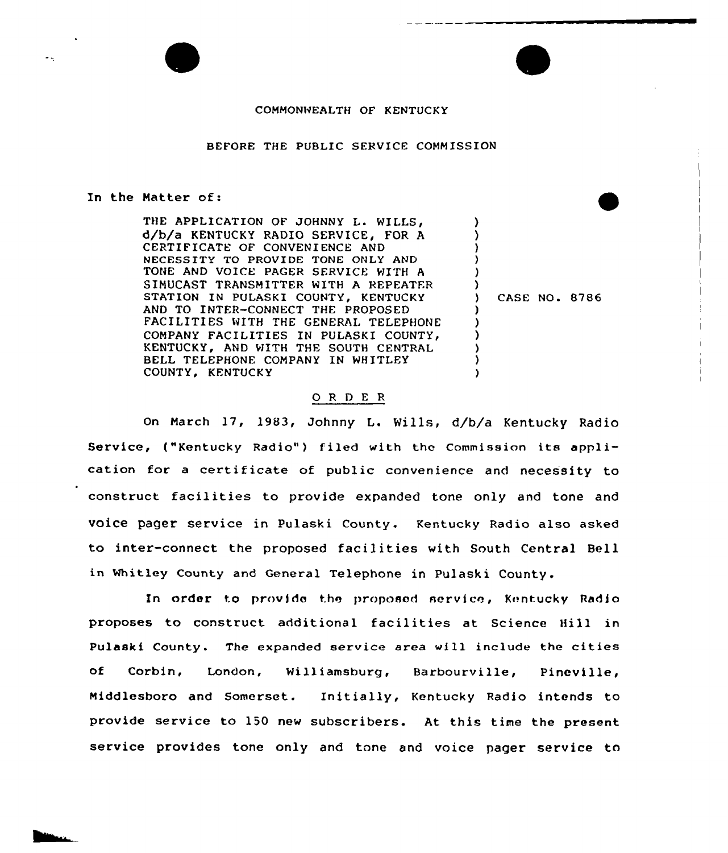# COMMONWEALTH OF KENTUCKY

### BEFORE THE PUBLIC SERVICE COMMISSION

#### In the Matter of:

THE APPLICATION OF JOHNNY L. WILLS, d/b/a KENTUCKY RADIO SERVICE, FOR A CERTIFICATE OF CONVENIENCE AND NECESSITY TO PROVIDE TONE ONLY AND TONE AND VOICE PAGER SERVICE WITH <sup>A</sup> SIMUCAST TRANSMITTER WITH A REPEATFR STATION IN PULASKI COUNTY, KENTUCKY AND TO INTER-CONNECT THE PROPOSED FACILITIES WITH THE GENERAL TELEPHONE COMPANY FACILITIES IN PULASKI KENTUCKY, AND WITH THE SOUTH CENTRAL BELL TELEPHONE COMPANY IN WHITLEY COUNTY, KENTUCKY

) CASE NO. 8786

) ) ) ) ) )

) ) )

) )

١.

# O R D E R

On March 17, 1983, Johnny L. Wills, d/b/a Kentucky Radio Service, ("Kentucky Radio") filed with the Commission its application for <sup>a</sup> certificate of public convenience and necessity to construct facilities to provide expanded tone only and tone and voice pager service in Pulaski County. Kentucky Radio also asked to inter-connect the proposed facilities with South Central Bell in Whitley County and General Telephone in Pulaski County .

In order to provide the proposed service, Kentucky Radio proposes to construct additional facilities at Science Hill in Pulaski County. The expanded service area vill include the cities of Corbin, London, Williamsburg, Barbourville, Pineville, Middlesboro and Somerset. Initially, Kentucky Radio intends to provide service to 150 new subscribers. At this time the present service provides tone only and tone and voice pager service to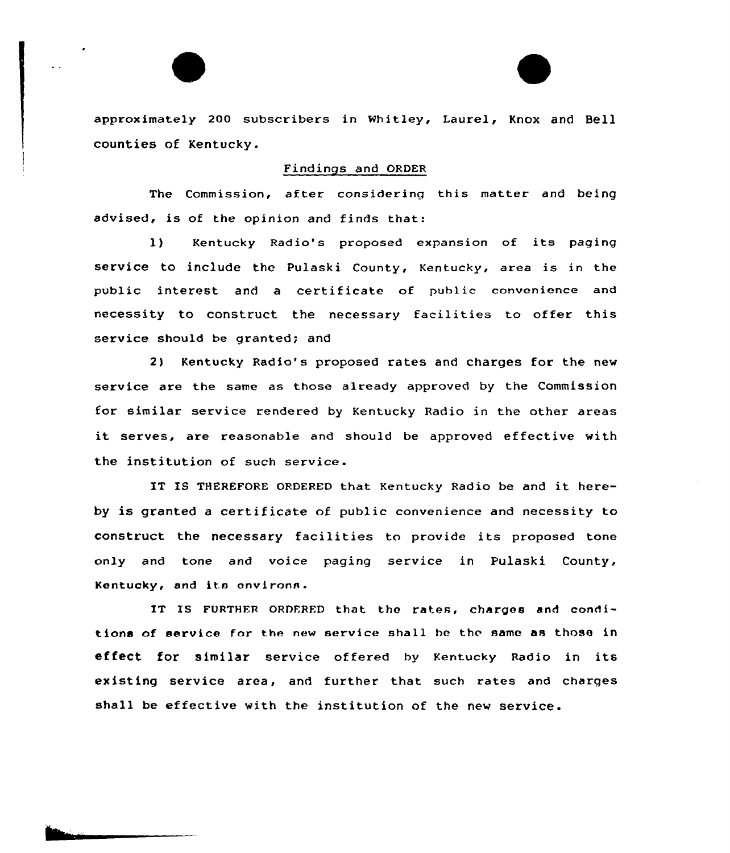approximately 200 subscribers in Whitley, Laurel, Knox and Bell counties of Kentucky.

# Findings and ORDER

The Commission, after considering this matter and being advised, is of the opinion and finds that:

l) Kentucky Radio's proposed expansion of its paging service to include the pulaski County, Kentucky, area is in the public interest and a certificate of public convenience and necessity to construct the necessaxy facilities to offer this service should be granted; and

2) Kentucky Radio's proposed rates and charges for the new service are the same as those already approved by the Commission for similar service rendered by Kentucky Radio in the other axeas it serves, are reasonable and should be approved effective with the institution of such service.

IT IS THEREFORE ORDERED that Kentucky Radio be and it hereby is granted <sup>a</sup> certificate of public convenience and necessity to construct the necessary facilities to provide its proposed tone only and tone and voice paging service in Pulaski County, Kentucky, and its onvirons.

IT IS FURTHER ORDERED that the rates, charges and conditions of service for the new service shall he the same as those in effect for similar service offered by Kentucky Radio in its existing service area, and further that such rates and charges shall be effective with the institution of the new service.